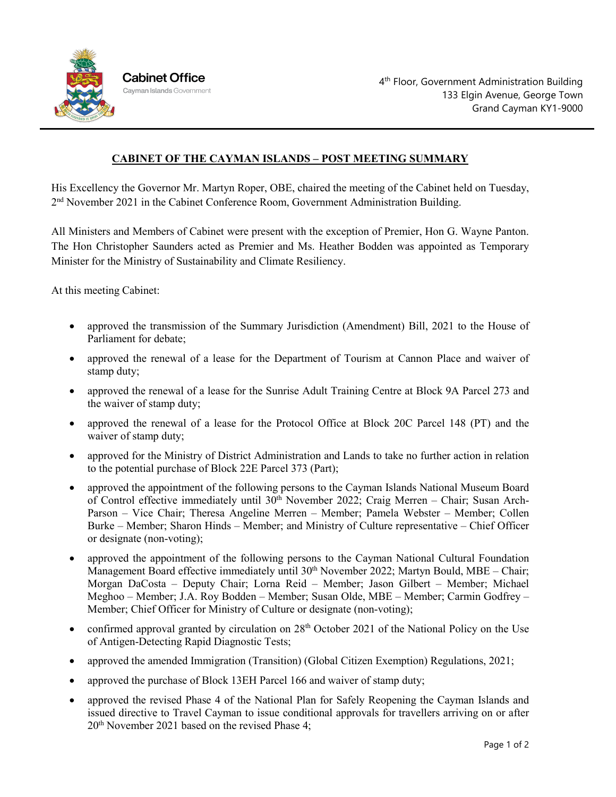

## **CABINET OF THE CAYMAN ISLANDS – POST MEETING SUMMARY**

His Excellency the Governor Mr. Martyn Roper, OBE, chaired the meeting of the Cabinet held on Tuesday, 2nd November 2021 in the Cabinet Conference Room, Government Administration Building.

All Ministers and Members of Cabinet were present with the exception of Premier, Hon G. Wayne Panton. The Hon Christopher Saunders acted as Premier and Ms. Heather Bodden was appointed as Temporary Minister for the Ministry of Sustainability and Climate Resiliency.

At this meeting Cabinet:

- approved the transmission of the Summary Jurisdiction (Amendment) Bill, 2021 to the House of Parliament for debate;
- approved the renewal of a lease for the Department of Tourism at Cannon Place and waiver of stamp duty;
- approved the renewal of a lease for the Sunrise Adult Training Centre at Block 9A Parcel 273 and the waiver of stamp duty;
- approved the renewal of a lease for the Protocol Office at Block 20C Parcel 148 (PT) and the waiver of stamp duty;
- approved for the Ministry of District Administration and Lands to take no further action in relation to the potential purchase of Block 22E Parcel 373 (Part);
- approved the appointment of the following persons to the Cayman Islands National Museum Board of Control effective immediately until  $30<sup>th</sup>$  November 2022; Craig Merren – Chair; Susan Arch-Parson – Vice Chair; Theresa Angeline Merren – Member; Pamela Webster – Member; Collen Burke – Member; Sharon Hinds – Member; and Ministry of Culture representative – Chief Officer or designate (non-voting);
- approved the appointment of the following persons to the Cayman National Cultural Foundation Management Board effective immediately until  $30<sup>th</sup>$  November 2022; Martyn Bould, MBE – Chair; Morgan DaCosta – Deputy Chair; Lorna Reid – Member; Jason Gilbert – Member; Michael Meghoo – Member; J.A. Roy Bodden – Member; Susan Olde, MBE – Member; Carmin Godfrey – Member; Chief Officer for Ministry of Culture or designate (non-voting);
- confirmed approval granted by circulation on  $28<sup>th</sup>$  October 2021 of the National Policy on the Use of Antigen-Detecting Rapid Diagnostic Tests;
- approved the amended Immigration (Transition) (Global Citizen Exemption) Regulations, 2021;
- approved the purchase of Block 13EH Parcel 166 and waiver of stamp duty;
- approved the revised Phase 4 of the National Plan for Safely Reopening the Cayman Islands and issued directive to Travel Cayman to issue conditional approvals for travellers arriving on or after 20th November 2021 based on the revised Phase 4;